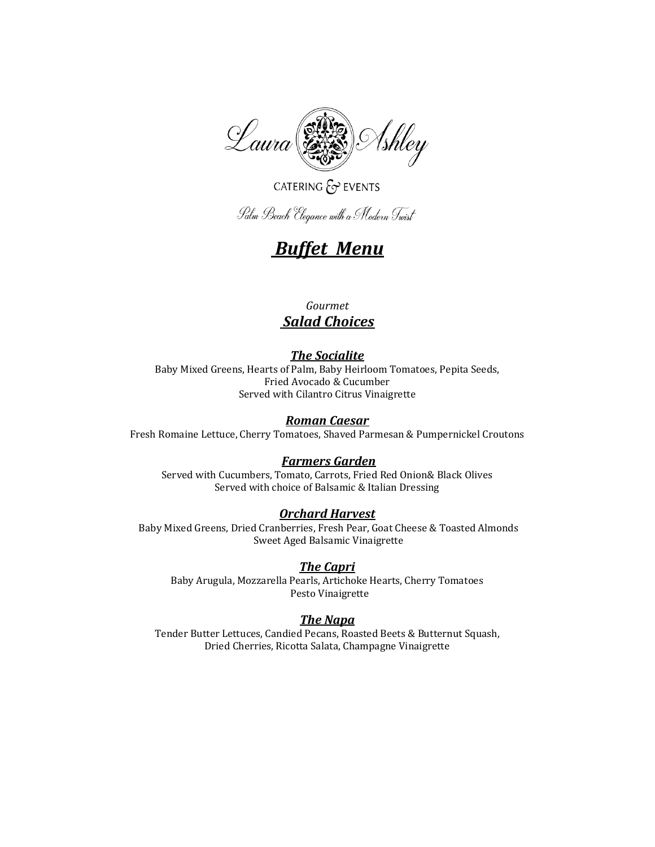

# CATERING  $\mathcal{E}$  EVENTS

Palm Beach Elegance with a Modern Twist

# *Buffet Menu*

# *Gourmet Salad Choices*

# *The Socialite*

Baby Mixed Greens, Hearts of Palm, Baby Heirloom Tomatoes, Pepita Seeds, Fried Avocado & Cucumber Served with Cilantro Citrus Vinaigrette

## *Roman Caesar*

Fresh Romaine Lettuce, Cherry Tomatoes, Shaved Parmesan & Pumpernickel Croutons

### *Farmers Garden*

Served with Cucumbers, Tomato, Carrots, Fried Red Onion& Black Olives Served with choice of Balsamic & Italian Dressing

### *Orchard Harvest*

Baby Mixed Greens, Dried Cranberries, Fresh Pear, Goat Cheese & Toasted Almonds Sweet Aged Balsamic Vinaigrette

### *The Capri*

Baby Arugula, Mozzarella Pearls, Artichoke Hearts, Cherry Tomatoes Pesto Vinaigrette

### *The Napa*

Tender Butter Lettuces, Candied Pecans, Roasted Beets & Butternut Squash, Dried Cherries, Ricotta Salata, Champagne Vinaigrette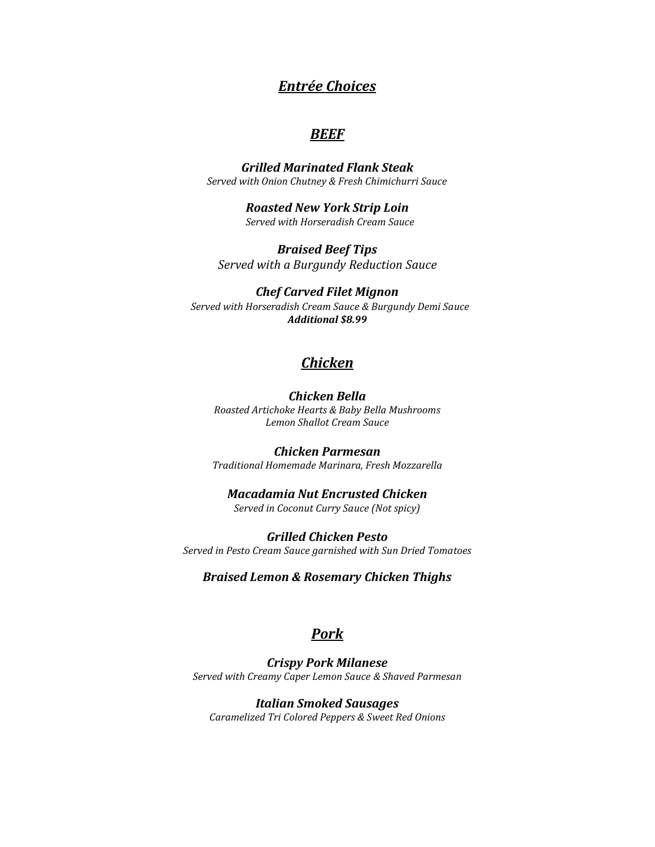# *Entrée Choices*

# *BEEF*

*Grilled Marinated Flank Steak Served with Onion Chutney & Fresh Chimichurri Sauce*

> *Roasted New York Strip Loin Served with Horseradish Cream Sauce*

*Braised Beef Tips Served with a Burgundy Reduction Sauce*

#### *Chef Carved Filet Mignon*

*Served with Horseradish Cream Sauce & Burgundy Demi Sauce Additional \$8.99*

# *Chicken*

#### *Chicken Bella*

*Roasted Artichoke Hearts & Baby Bella Mushrooms Lemon Shallot Cream Sauce* 

*Chicken Parmesan Traditional Homemade Marinara, Fresh Mozzarella*

*Macadamia Nut Encrusted Chicken Served in Coconut Curry Sauce (Not spicy)*

*Grilled Chicken Pesto Served in Pesto Cream Sauce garnished with Sun Dried Tomatoes* 

*Braised Lemon & Rosemary Chicken Thighs* 

# *Pork*

*Crispy Pork Milanese Served with Creamy Caper Lemon Sauce & Shaved Parmesan*

*Italian Smoked Sausages Caramelized Tri Colored Peppers & Sweet Red Onions*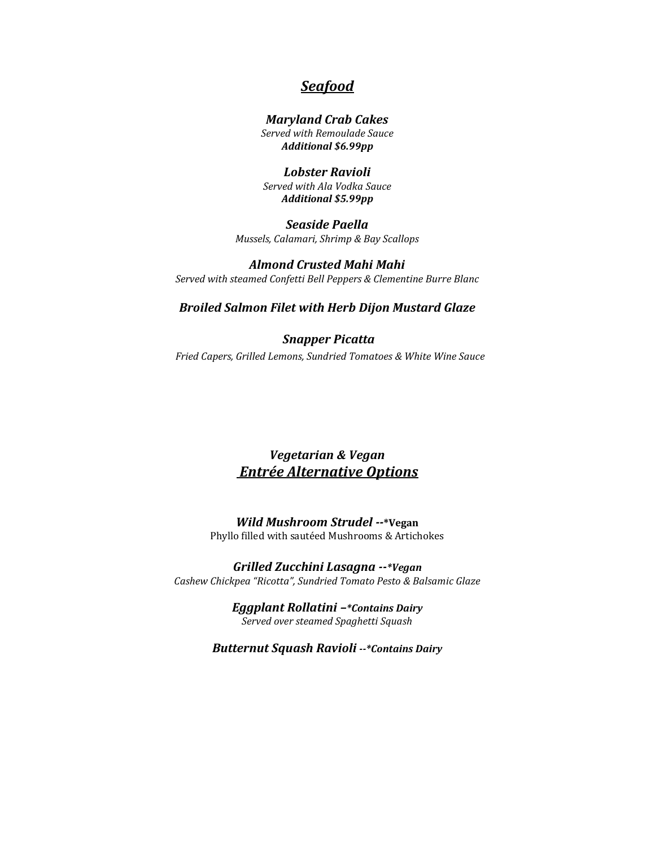# *Seafood*

#### *Maryland Crab Cakes Served with Remoulade Sauce Additional \$6.99pp*

*Lobster Ravioli Served with Ala Vodka Sauce Additional \$5.99pp*

*Seaside Paella Mussels, Calamari, Shrimp & Bay Scallops*

*Almond Crusted Mahi Mahi Served with steamed Confetti Bell Peppers & Clementine Burre Blanc*

#### *Broiled Salmon Filet with Herb Dijon Mustard Glaze*

### *Snapper Picatta Fried Capers, Grilled Lemons, Sundried Tomatoes & White Wine Sauce*

# *Vegetarian & Vegan Entrée Alternative Options*

*Wild Mushroom Strudel --***\*Vegan** Phyllo filled with sautéed Mushrooms & Artichokes

*Grilled Zucchini Lasagna --\*Vegan Cashew Chickpea "Ricotta", Sundried Tomato Pesto & Balsamic Glaze*

> *Eggplant Rollatini –\*Contains Dairy Served over steamed Spaghetti Squash*

*Butternut Squash Ravioli --\*Contains Dairy*